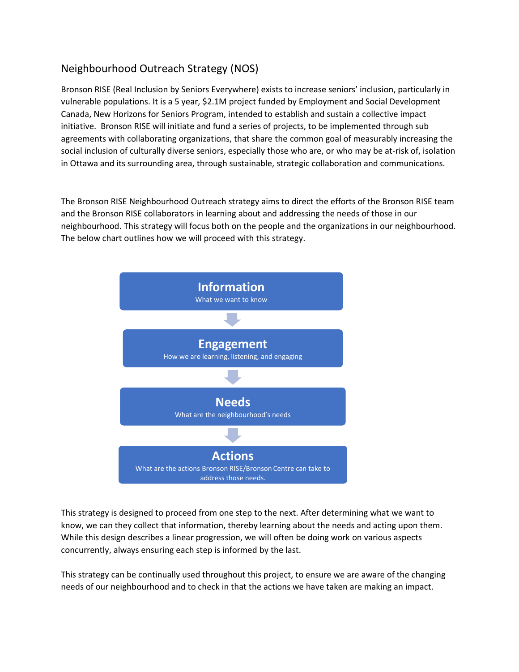# Neighbourhood Outreach Strategy (NOS)

Bronson RISE (Real Inclusion by Seniors Everywhere) exists to increase seniors' inclusion, particularly in vulnerable populations. It is a 5 year, \$2.1M project funded by Employment and Social Development Canada, New Horizons for Seniors Program, intended to establish and sustain a collective impact initiative. Bronson RISE will initiate and fund a series of projects, to be implemented through sub agreements with collaborating organizations, that share the common goal of measurably increasing the social inclusion of culturally diverse seniors, especially those who are, or who may be at-risk of, isolation in Ottawa and its surrounding area, through sustainable, strategic collaboration and communications.

The Bronson RISE Neighbourhood Outreach strategy aims to direct the efforts of the Bronson RISE team and the Bronson RISE collaborators in learning about and addressing the needs of those in our neighbourhood. This strategy will focus both on the people and the organizations in our neighbourhood. The below chart outlines how we will proceed with this strategy.



This strategy is designed to proceed from one step to the next. After determining what we want to know, we can they collect that information, thereby learning about the needs and acting upon them. While this design describes a linear progression, we will often be doing work on various aspects concurrently, always ensuring each step is informed by the last.

This strategy can be continually used throughout this project, to ensure we are aware of the changing needs of our neighbourhood and to check in that the actions we have taken are making an impact.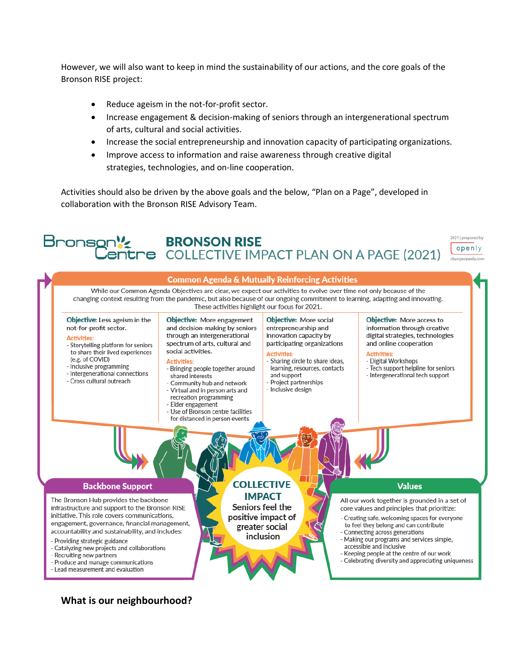However, we will also want to keep in mind the sustainability of our actions, and the core goals of the Bronson RISE project:

- Reduce ageism in the not-for-profit sector.
- Increase engagement & decision-making of seniors through an intergenerational spectrum of arts, cultural and social activities.
- Increase the social entrepreneurship and innovation capacity of participating organizations.
- Improve access to information and raise awareness through creative digital strategies, technologies, and on-line cooperation.

Activities should also be driven by the above goals and the below, "Plan on a Page", developed in collaboration with the Bronson RISE Advisory Team.



**What is our neighbourhood?**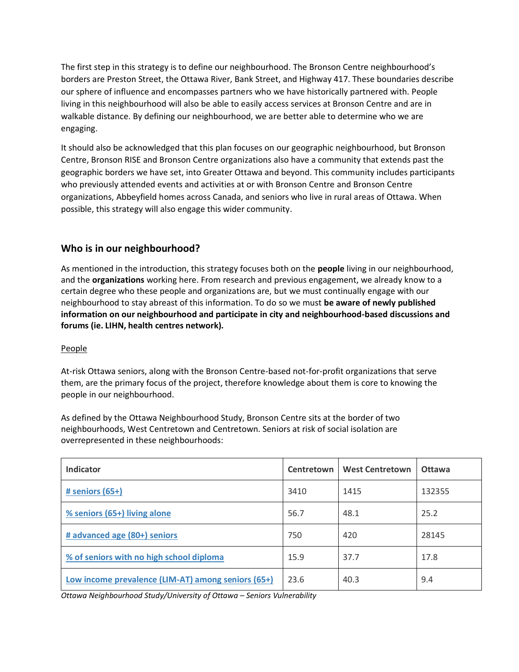The first step in this strategy is to define our neighbourhood. The Bronson Centre neighbourhood's borders are Preston Street, the Ottawa River, Bank Street, and Highway 417. These boundaries describe our sphere of influence and encompasses partners who we have historically partnered with. People living in this neighbourhood will also be able to easily access services at Bronson Centre and are in walkable distance. By defining our neighbourhood, we are better able to determine who we are engaging.

It should also be acknowledged that this plan focuses on our geographic neighbourhood, but Bronson Centre, Bronson RISE and Bronson Centre organizations also have a community that extends past the geographic borders we have set, into Greater Ottawa and beyond. This community includes participants who previously attended events and activities at or with Bronson Centre and Bronson Centre organizations, Abbeyfield homes across Canada, and seniors who live in rural areas of Ottawa. When possible, this strategy will also engage this wider community.

# **Who is in our neighbourhood?**

As mentioned in the introduction, this strategy focuses both on the **people** living in our neighbourhood, and the **organizations** working here. From research and previous engagement, we already know to a certain degree who these people and organizations are, but we must continually engage with our neighbourhood to stay abreast of this information. To do so we must **be aware of newly published information on our neighbourhood and participate in city and neighbourhood-based discussions and forums (ie. LIHN, health centres network).**

### People

At-risk Ottawa seniors, along with the Bronson Centre-based not-for-profit organizations that serve them, are the primary focus of the project, therefore knowledge about them is core to knowing the people in our neighbourhood.

As defined by the Ottawa Neighbourhood Study, Bronson Centre sits at the border of two neighbourhoods, West Centretown and Centretown. Seniors at risk of social isolation are overrepresented in these neighbourhoods:

| <b>Indicator</b>                                   | Centretown | <b>West Centretown</b> | <b>Ottawa</b> |
|----------------------------------------------------|------------|------------------------|---------------|
| # seniors $(65+)$                                  | 3410       | 1415                   | 132355        |
| % seniors (65+) living alone                       | 56.7       | 48.1                   | 25.2          |
| # advanced age (80+) seniors                       | 750        | 420                    | 28145         |
| % of seniors with no high school diploma           | 15.9       | 37.7                   | 17.8          |
| Low income prevalence (LIM-AT) among seniors (65+) | 23.6       | 40.3                   | 9.4           |

*Ottawa Neighbourhood Study/University of Ottawa – Seniors Vulnerability*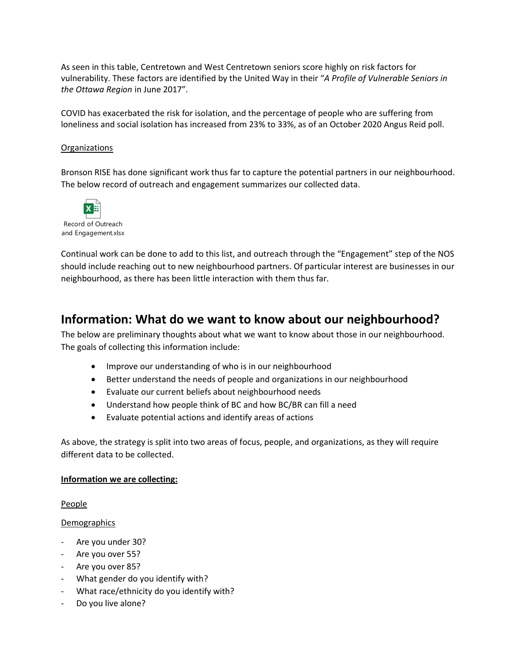As seen in this table, Centretown and West Centretown seniors score highly on risk factors for vulnerability. These factors are identified by the United Way in their "*A Profile of Vulnerable Seniors in the Ottawa Region* in June 2017".

COVID has exacerbated the risk for isolation, and the percentage of people who are suffering from loneliness and social isolation has increased from 23% to 33%, as of an October 2020 Angus Reid poll.

#### **Organizations**

Bronson RISE has done significant work thus far to capture the potential partners in our neighbourhood. The below record of outreach and engagement summarizes our collected data.



Continual work can be done to add to this list, and outreach through the "Engagement" step of the NOS should include reaching out to new neighbourhood partners. Of particular interest are businesses in our neighbourhood, as there has been little interaction with them thus far.

# **Information: What do we want to know about our neighbourhood?**

The below are preliminary thoughts about what we want to know about those in our neighbourhood. The goals of collecting this information include:

- Improve our understanding of who is in our neighbourhood
- Better understand the needs of people and organizations in our neighbourhood
- Evaluate our current beliefs about neighbourhood needs
- Understand how people think of BC and how BC/BR can fill a need
- Evaluate potential actions and identify areas of actions

As above, the strategy is split into two areas of focus, people, and organizations, as they will require different data to be collected.

#### **Information we are collecting:**

#### People

#### Demographics

- Are you under 30?
- Are you over 55?
- Are you over 85?
- What gender do you identify with?
- What race/ethnicity do you identify with?
- Do you live alone?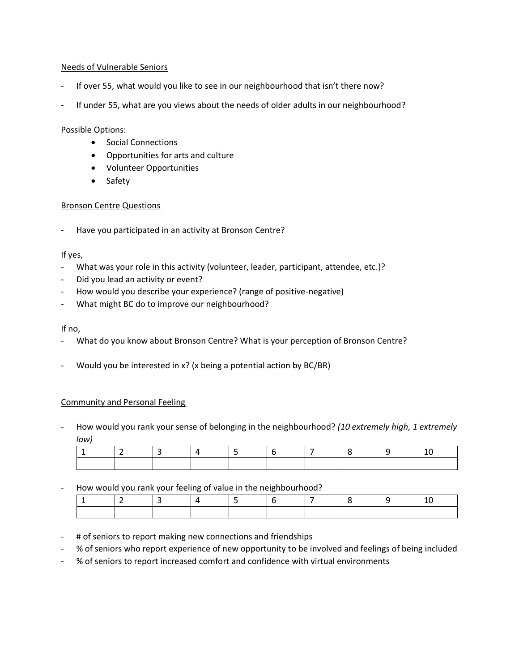#### Needs of Vulnerable Seniors

- If over 55, what would you like to see in our neighbourhood that isn't there now?
- If under 55, what are you views about the needs of older adults in our neighbourhood?

Possible Options:

- Social Connections
- Opportunities for arts and culture
- Volunteer Opportunities
- Safety

#### Bronson Centre Questions

- Have you participated in an activity at Bronson Centre?

#### If yes,

- What was your role in this activity (volunteer, leader, participant, attendee, etc.)?
- Did you lead an activity or event?
- How would you describe your experience? (range of positive-negative)
- What might BC do to improve our neighbourhood?

If no,

- What do you know about Bronson Centre? What is your perception of Bronson Centre?
- Would you be interested in  $x$ ? (x being a potential action by BC/BR)

#### Community and Personal Feeling

- How would you rank your sense of belonging in the neighbourhood? *(10 extremely high, 1 extremely low)*

How would you rank your feeling of value in the neighbourhood?

- # of seniors to report making new connections and friendships
- % of seniors who report experience of new opportunity to be involved and feelings of being included
- % of seniors to report increased comfort and confidence with virtual environments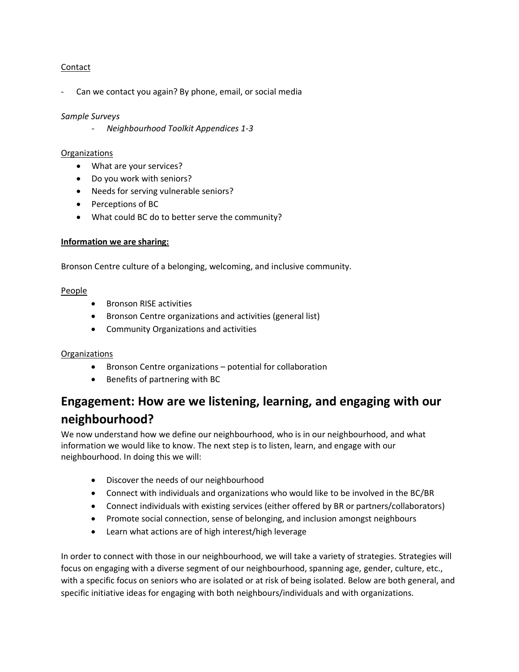#### Contact

Can we contact you again? By phone, email, or social media

#### *Sample Surveys*

- *Neighbourhood Toolkit Appendices 1-3*

#### Organizations

- What are your services?
- Do you work with seniors?
- Needs for serving vulnerable seniors?
- Perceptions of BC
- What could BC do to better serve the community?

#### **Information we are sharing:**

Bronson Centre culture of a belonging, welcoming, and inclusive community.

#### People

- Bronson RISE activities
- Bronson Centre organizations and activities (general list)
- Community Organizations and activities

#### **Organizations**

- Bronson Centre organizations potential for collaboration
- Benefits of partnering with BC

# **Engagement: How are we listening, learning, and engaging with our neighbourhood?**

We now understand how we define our neighbourhood, who is in our neighbourhood, and what information we would like to know. The next step is to listen, learn, and engage with our neighbourhood. In doing this we will:

- Discover the needs of our neighbourhood
- Connect with individuals and organizations who would like to be involved in the BC/BR
- Connect individuals with existing services (either offered by BR or partners/collaborators)
- Promote social connection, sense of belonging, and inclusion amongst neighbours
- Learn what actions are of high interest/high leverage

In order to connect with those in our neighbourhood, we will take a variety of strategies. Strategies will focus on engaging with a diverse segment of our neighbourhood, spanning age, gender, culture, etc., with a specific focus on seniors who are isolated or at risk of being isolated. Below are both general, and specific initiative ideas for engaging with both neighbours/individuals and with organizations.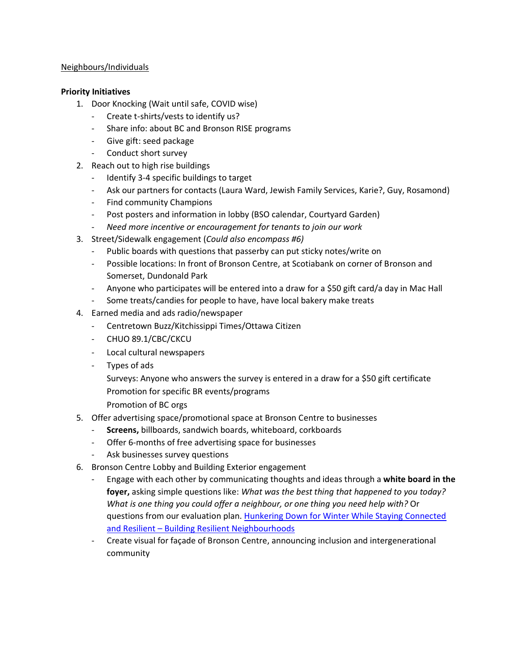#### Neighbours/Individuals

#### **Priority Initiatives**

- 1. Door Knocking (Wait until safe, COVID wise)
	- Create t-shirts/vests to identify us?
	- Share info: about BC and Bronson RISE programs
	- Give gift: seed package
	- Conduct short survey
- 2. Reach out to high rise buildings
	- Identify 3-4 specific buildings to target
	- Ask our partners for contacts (Laura Ward, Jewish Family Services, Karie?, Guy, Rosamond)
	- Find community Champions
	- Post posters and information in lobby (BSO calendar, Courtyard Garden)
	- *Need more incentive or encouragement for tenants to join our work*
- 3. Street/Sidewalk engagement (*Could also encompass #6)*
	- Public boards with questions that passerby can put sticky notes/write on
	- Possible locations: In front of Bronson Centre, at Scotiabank on corner of Bronson and Somerset, Dundonald Park
	- Anyone who participates will be entered into a draw for a \$50 gift card/a day in Mac Hall
	- Some treats/candies for people to have, have local bakery make treats
- 4. Earned media and ads radio/newspaper
	- Centretown Buzz/Kitchissippi Times/Ottawa Citizen
	- CHUO 89.1/CBC/CKCU
	- Local cultural newspapers
	- Types of ads
		- Surveys: Anyone who answers the survey is entered in a draw for a \$50 gift certificate Promotion for specific BR events/programs
		- Promotion of BC orgs
- 5. Offer advertising space/promotional space at Bronson Centre to businesses
	- **Screens,** billboards, sandwich boards, whiteboard, corkboards
	- Offer 6-months of free advertising space for businesses
	- Ask businesses survey questions
- 6. Bronson Centre Lobby and Building Exterior engagement
	- Engage with each other by communicating thoughts and ideas through a **white board in the foyer,** asking simple questions like: *What was the best thing that happened to you today? What is one thing you could offer a neighbour, or one thing you need help with?* Or questions from our evaluation plan. [Hunkering Down for Winter While Staying Connected](https://resilientneighbourhoods.ca/hunkering-down-for-winter-while-staying-connected-and-resilient/)  and Resilient – [Building Resilient Neighbourhoods](https://resilientneighbourhoods.ca/hunkering-down-for-winter-while-staying-connected-and-resilient/)
	- Create visual for façade of Bronson Centre, announcing inclusion and intergenerational community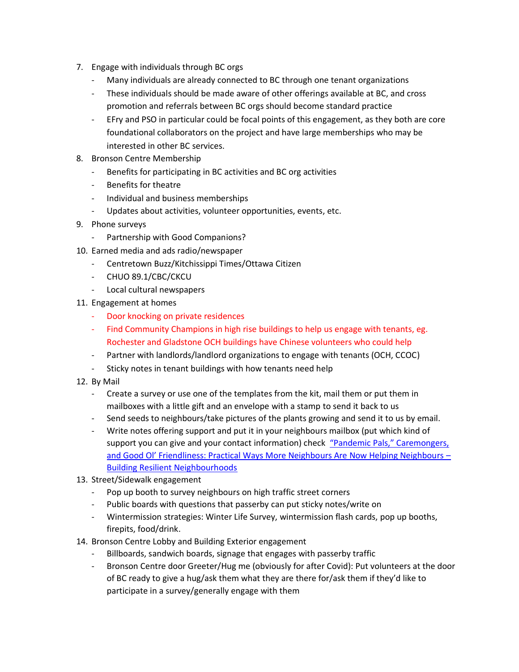- 7. Engage with individuals through BC orgs
	- Many individuals are already connected to BC through one tenant organizations
	- These individuals should be made aware of other offerings available at BC, and cross promotion and referrals between BC orgs should become standard practice
	- EFry and PSO in particular could be focal points of this engagement, as they both are core foundational collaborators on the project and have large memberships who may be interested in other BC services.
- 8. Bronson Centre Membership
	- Benefits for participating in BC activities and BC org activities
	- Benefits for theatre
	- Individual and business memberships
	- Updates about activities, volunteer opportunities, events, etc.
- 9. Phone surveys
	- Partnership with Good Companions?
- 10. Earned media and ads radio/newspaper
	- Centretown Buzz/Kitchissippi Times/Ottawa Citizen
	- CHUO 89.1/CBC/CKCU
	- Local cultural newspapers
- 11. Engagement at homes
	- Door knocking on private residences
	- Find Community Champions in high rise buildings to help us engage with tenants, eg. Rochester and Gladstone OCH buildings have Chinese volunteers who could help
	- Partner with landlords/landlord organizations to engage with tenants (OCH, CCOC)
	- Sticky notes in tenant buildings with how tenants need help
- 12. By Mail
	- Create a survey or use one of the templates from the kit, mail them or put them in mailboxes with a little gift and an envelope with a stamp to send it back to us
	- Send seeds to neighbours/take pictures of the plants growing and send it to us by email.
	- Write notes offering support and put it in your neighbours mailbox (put which kind of support you can give and your contact information) check "Pandemic Pals," Caremongers, [and Good Ol' Friendliness: Practical Ways More Neighbours Are Now Helping Neighbours –](https://resilientneighbourhoods.ca/pandemic-pals-caremongers-and-good-ol-friendliness-practical-ways-more-neighbours-are-now-helping-neighbours/) [Building Resilient Neighbourhoods](https://resilientneighbourhoods.ca/pandemic-pals-caremongers-and-good-ol-friendliness-practical-ways-more-neighbours-are-now-helping-neighbours/)
- 13. Street/Sidewalk engagement
	- Pop up booth to survey neighbours on high traffic street corners
	- Public boards with questions that passerby can put sticky notes/write on
	- Wintermission strategies: Winter Life Survey, wintermission flash cards, pop up booths, firepits, food/drink.
- 14. Bronson Centre Lobby and Building Exterior engagement
	- Billboards, sandwich boards, signage that engages with passerby traffic
	- Bronson Centre door Greeter/Hug me (obviously for after Covid): Put volunteers at the door of BC ready to give a hug/ask them what they are there for/ask them if they'd like to participate in a survey/generally engage with them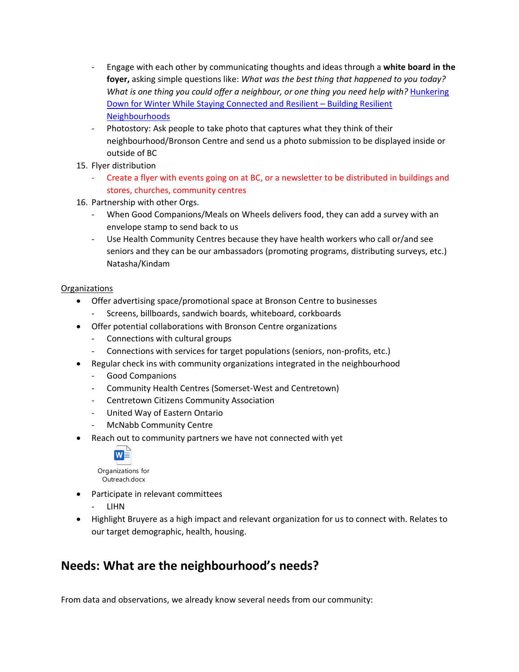- Engage with each other by communicating thoughts and ideas through a **white board in the foyer,** asking simple questions like: *What was the best thing that happened to you today? What is one thing you could offer a neighbour, or one thing you need help with?* [Hunkering](https://resilientneighbourhoods.ca/hunkering-down-for-winter-while-staying-connected-and-resilient/)  [Down for Winter While Staying Connected and Resilient](https://resilientneighbourhoods.ca/hunkering-down-for-winter-while-staying-connected-and-resilient/) – Building Resilient [Neighbourhoods](https://resilientneighbourhoods.ca/hunkering-down-for-winter-while-staying-connected-and-resilient/)
- Photostory: Ask people to take photo that captures what they think of their neighbourhood/Bronson Centre and send us a photo submission to be displayed inside or outside of BC
- 15. Flyer distribution
	- Create a flyer with events going on at BC, or a newsletter to be distributed in buildings and stores, churches, community centres
- 16. Partnership with other Orgs.
	- When Good Companions/Meals on Wheels delivers food, they can add a survey with an envelope stamp to send back to us
	- Use Health Community Centres because they have health workers who call or/and see seniors and they can be our ambassadors (promoting programs, distributing surveys, etc.) Natasha/Kindam

#### **Organizations**

- Offer advertising space/promotional space at Bronson Centre to businesses
	- Screens, billboards, sandwich boards, whiteboard, corkboards
- Offer potential collaborations with Bronson Centre organizations
	- Connections with cultural groups
	- Connections with services for target populations (seniors, non-profits, etc.)
- Regular check ins with community organizations integrated in the neighbourhood
	- Good Companions
	- Community Health Centres (Somerset-West and Centretown)
	- Centretown Citizens Community Association
	- United Way of Eastern Ontario
	- McNabb Community Centre
- Reach out to community partners we have not connected with yet



Outreach.docx

- Participate in relevant committees
	- LIHN
- Highlight Bruyere as a high impact and relevant organization for us to connect with. Relates to our target demographic, health, housing.

# **Needs: What are the neighbourhood's needs?**

From data and observations, we already know several needs from our community: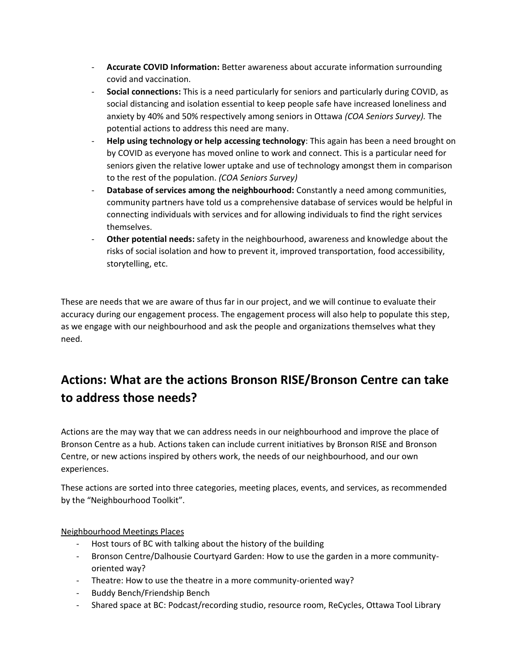- **Accurate COVID Information:** Better awareness about accurate information surrounding covid and vaccination.
- **Social connections:** This is a need particularly for seniors and particularly during COVID, as social distancing and isolation essential to keep people safe have increased loneliness and anxiety by 40% and 50% respectively among seniors in Ottawa *(COA Seniors Survey).* The potential actions to address this need are many.
- **Help using technology or help accessing technology**: This again has been a need brought on by COVID as everyone has moved online to work and connect. This is a particular need for seniors given the relative lower uptake and use of technology amongst them in comparison to the rest of the population. *(COA Seniors Survey)*
- **Database of services among the neighbourhood:** Constantly a need among communities, community partners have told us a comprehensive database of services would be helpful in connecting individuals with services and for allowing individuals to find the right services themselves.
- **Other potential needs:** safety in the neighbourhood, awareness and knowledge about the risks of social isolation and how to prevent it, improved transportation, food accessibility, storytelling, etc.

These are needs that we are aware of thus far in our project, and we will continue to evaluate their accuracy during our engagement process. The engagement process will also help to populate this step, as we engage with our neighbourhood and ask the people and organizations themselves what they need.

# **Actions: What are the actions Bronson RISE/Bronson Centre can take to address those needs?**

Actions are the may way that we can address needs in our neighbourhood and improve the place of Bronson Centre as a hub. Actions taken can include current initiatives by Bronson RISE and Bronson Centre, or new actions inspired by others work, the needs of our neighbourhood, and our own experiences.

These actions are sorted into three categories, meeting places, events, and services, as recommended by the "Neighbourhood Toolkit".

Neighbourhood Meetings Places

- Host tours of BC with talking about the history of the building
- Bronson Centre/Dalhousie Courtyard Garden: How to use the garden in a more communityoriented way?
- Theatre: How to use the theatre in a more community-oriented way?
- Buddy Bench/Friendship Bench
- Shared space at BC: Podcast/recording studio, resource room, ReCycles, Ottawa Tool Library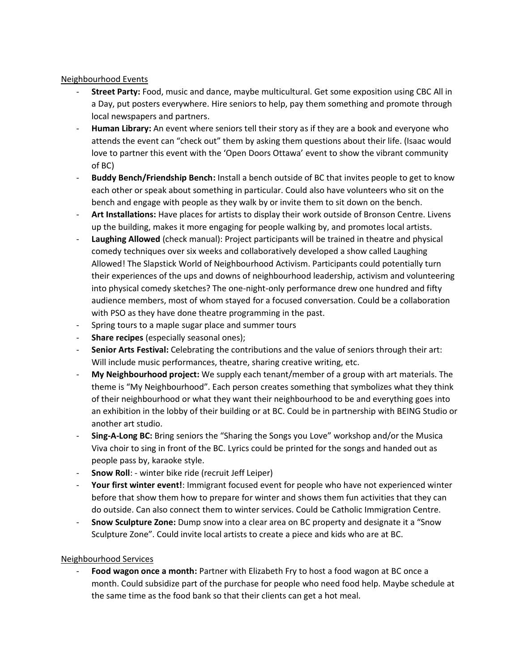#### Neighbourhood Events

- **Street Party:** Food, music and dance, maybe multicultural. Get some exposition using CBC All in a Day, put posters everywhere. Hire seniors to help, pay them something and promote through local newspapers and partners.
- **Human Library:** An event where seniors tell their story as if they are a book and everyone who attends the event can "check out" them by asking them questions about their life. (Isaac would love to partner this event with the 'Open Doors Ottawa' event to show the vibrant community of BC)
- **Buddy Bench/Friendship Bench:** Install a bench outside of BC that invites people to get to know each other or speak about something in particular. Could also have volunteers who sit on the bench and engage with people as they walk by or invite them to sit down on the bench.
- **Art Installations:** Have places for artists to display their work outside of Bronson Centre. Livens up the building, makes it more engaging for people walking by, and promotes local artists.
- **Laughing Allowed** (check manual): Project participants will be trained in theatre and physical comedy techniques over six weeks and collaboratively developed a show called Laughing Allowed! The Slapstick World of Neighbourhood Activism. Participants could potentially turn their experiences of the ups and downs of neighbourhood leadership, activism and volunteering into physical comedy sketches? The one-night-only performance drew one hundred and fifty audience members, most of whom stayed for a focused conversation. Could be a collaboration with PSO as they have done theatre programming in the past.
- Spring tours to a maple sugar place and summer tours
- **Share recipes** (especially seasonal ones);
- **Senior Arts Festival:** Celebrating the contributions and the value of seniors through their art: Will include music performances, theatre, sharing creative writing, etc.
- **My Neighbourhood project:** We supply each tenant/member of a group with art materials. The theme is "My Neighbourhood". Each person creates something that symbolizes what they think of their neighbourhood or what they want their neighbourhood to be and everything goes into an exhibition in the lobby of their building or at BC. Could be in partnership with BEING Studio or another art studio.
- **Sing-A-Long BC:** Bring seniors the "Sharing the Songs you Love" workshop and/or the Musica Viva choir to sing in front of the BC. Lyrics could be printed for the songs and handed out as people pass by, karaoke style.
- **Snow Roll**: winter bike ride (recruit Jeff Leiper)
- **Your first winter event!**: Immigrant focused event for people who have not experienced winter before that show them how to prepare for winter and shows them fun activities that they can do outside. Can also connect them to winter services. Could be Catholic Immigration Centre.
- **Snow Sculpture Zone:** Dump snow into a clear area on BC property and designate it a "Snow Sculpture Zone". Could invite local artists to create a piece and kids who are at BC.

### Neighbourhood Services

- **Food wagon once a month:** Partner with Elizabeth Fry to host a food wagon at BC once a month. Could subsidize part of the purchase for people who need food help. Maybe schedule at the same time as the food bank so that their clients can get a hot meal.